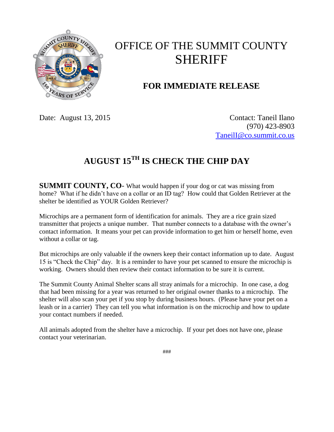

## OFFICE OF THE SUMMIT COUNTY SHERIFF

## **FOR IMMEDIATE RELEASE**

Date: August 13, 2015 Contact: Taneil Ilano (970) 423-8903 [TaneilI@co.summit.co.us](mailto:TaneilI@co.summit.co.us)

## **AUGUST 15TH IS CHECK THE CHIP DAY**

**SUMMIT COUNTY, CO**- What would happen if your dog or cat was missing from home? What if he didn't have on a collar or an ID tag? How could that Golden Retriever at the shelter be identified as YOUR Golden Retriever?

Microchips are a permanent form of identification for animals. They are a rice grain sized transmitter that projects a unique number. That number connects to a database with the owner's contact information. It means your pet can provide information to get him or herself home, even without a collar or tag.

But microchips are only valuable if the owners keep their contact information up to date. August 15 is "Check the Chip" day. It is a reminder to have your pet scanned to ensure the microchip is working. Owners should then review their contact information to be sure it is current.

The Summit County Animal Shelter scans all stray animals for a microchip. In one case, a dog that had been missing for a year was returned to her original owner thanks to a microchip. The shelter will also scan your pet if you stop by during business hours. (Please have your pet on a leash or in a carrier) They can tell you what information is on the microchip and how to update your contact numbers if needed.

All animals adopted from the shelter have a microchip. If your pet does not have one, please contact your veterinarian.